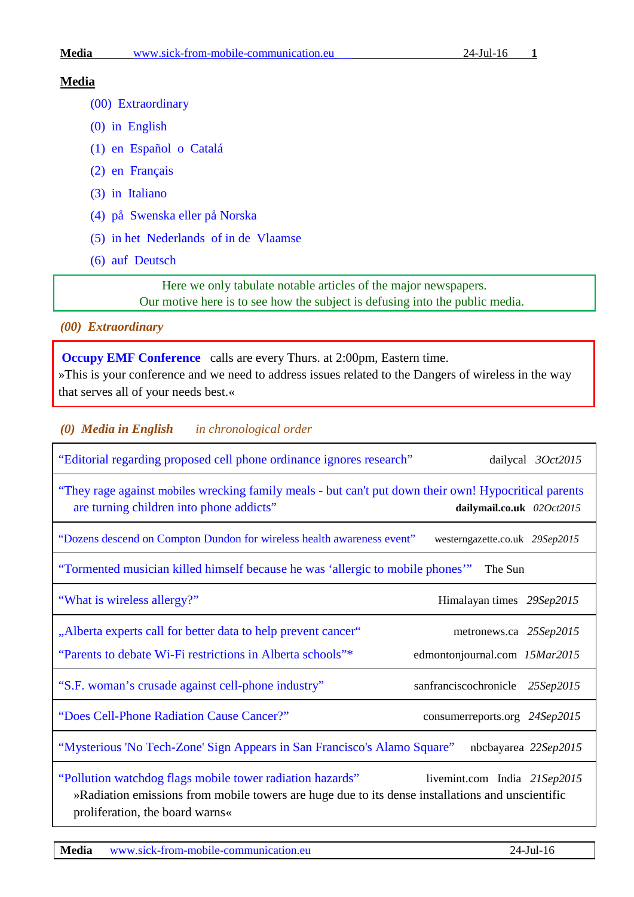#### **Media** [www.sick-from-mobile-communication.eu](http://www.sick-from-mobile-communication.eu/) 24-Jul-16 **1**

#### **Media**

- [\(00\) Extraordinary](#page-0-0)
- [\(0\) in English](#page-0-1)
- [\(1\) en Español o Catalá](#page-6-0)
- [\(2\) en Français](#page-6-1)
- [\(3\) in Italiano](#page-7-0)
- [\(4\) på Swenska eller på Norska](#page-7-1)
- [\(5\) in het Nederlands](#page-8-0) of in de Vlaamse
- [\(6\) auf Deutsch](#page-8-1)

Here we only tabulate notable articles of the major newspapers. Our motive here is to see how the subject is defusing into the public media.

<span id="page-0-0"></span>*(00) Extraordinary*

**[Occupy EMF Conference](http://myaccount.maestroconference.com/%E2%80%A6/r%E2%80%A6/GNA95ACHSPL3AMYH)** calls are every Thurs. at 2:00pm, Eastern time. »This is your conference and we need to address issues related to the Dangers of wireless in the way that serves all of your needs best.«

<span id="page-0-1"></span>*(0) Media in English in chronological order*

| "Editorial regarding proposed cell phone ordinance ignores research"                                                                                                                             | dailycal 3Oct2015                                       |  |
|--------------------------------------------------------------------------------------------------------------------------------------------------------------------------------------------------|---------------------------------------------------------|--|
| "They rage against mobiles wrecking family meals - but can't put down their own! Hypocritical parents<br>are turning children into phone addicts"                                                | dailymail.co.uk 02Oct2015                               |  |
| "Dozens descend on Compton Dundon for wireless health awareness event"                                                                                                                           | westerngazette.co.uk 29Sep2015                          |  |
| "Tormented musician killed himself because he was 'allergic to mobile phones'" The Sun                                                                                                           |                                                         |  |
| "What is wireless allergy?"                                                                                                                                                                      | Himalayan times 29Sep2015                               |  |
| "Alberta experts call for better data to help prevent cancer"<br>"Parents to debate Wi-Fi restrictions in Alberta schools"*                                                                      | metronews.ca 25Sep2015<br>edmontonjournal.com 15Mar2015 |  |
| "S.F. woman's crusade against cell-phone industry"                                                                                                                                               | sanfranciscochronicle 25Sep2015                         |  |
| "Does Cell-Phone Radiation Cause Cancer?"                                                                                                                                                        | consumerreports.org 24Sep2015                           |  |
| "Mysterious 'No Tech-Zone' Sign Appears in San Francisco's Alamo Square"                                                                                                                         | nbcbayarea 22Sep2015                                    |  |
| "Pollution watchdog flags mobile tower radiation hazards"<br>»Radiation emissions from mobile towers are huge due to its dense installations and unscientific<br>proliferation, the board warns« | livemint.com India 21Sep2015                            |  |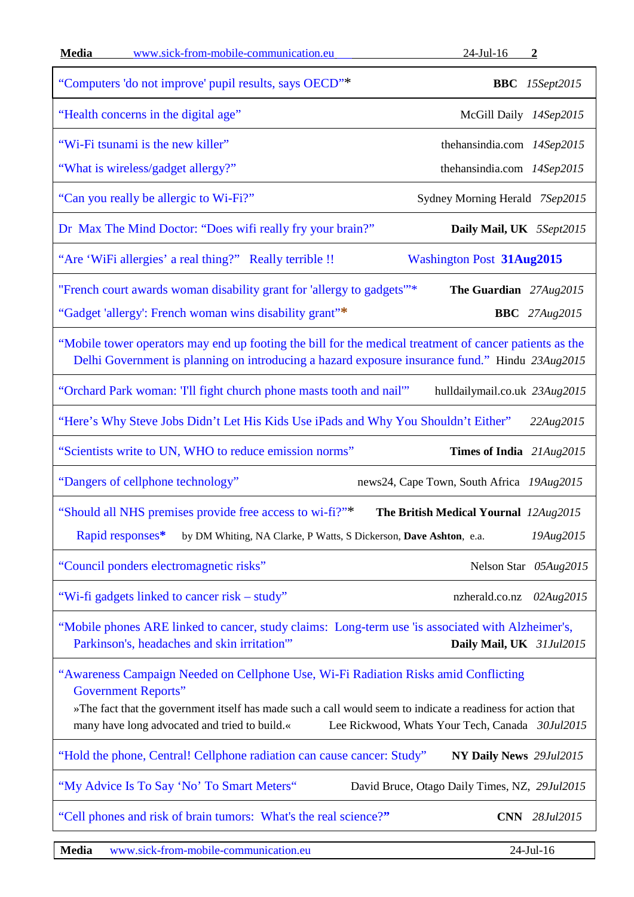| Media<br>www.sick-from-mobile-communication.eu                                                                                                                                                                                                                                                                                        | $24$ -Jul-16 2                                |  |
|---------------------------------------------------------------------------------------------------------------------------------------------------------------------------------------------------------------------------------------------------------------------------------------------------------------------------------------|-----------------------------------------------|--|
| "Computers 'do not improve' pupil results, says OECD"*                                                                                                                                                                                                                                                                                | <b>BBC</b> 15Sept2015                         |  |
| "Health concerns in the digital age"                                                                                                                                                                                                                                                                                                  | McGill Daily 14Sep2015                        |  |
| "Wi-Fi tsunami is the new killer"                                                                                                                                                                                                                                                                                                     | thehansindia.com 14Sep2015                    |  |
| "What is wireless/gadget allergy?"                                                                                                                                                                                                                                                                                                    | thehansindia.com 14Sep2015                    |  |
| "Can you really be allergic to Wi-Fi?"                                                                                                                                                                                                                                                                                                | Sydney Morning Herald 7Sep2015                |  |
| Dr Max The Mind Doctor: "Does wifi really fry your brain?"                                                                                                                                                                                                                                                                            | Daily Mail, UK 5Sept2015                      |  |
| "Are 'WiFi allergies' a real thing?" Really terrible !!                                                                                                                                                                                                                                                                               | <b>Washington Post 31Aug2015</b>              |  |
| "French court awards woman disability grant for 'allergy to gadgets" <sup>**</sup>                                                                                                                                                                                                                                                    | The Guardian 27Aug2015                        |  |
| "Gadget 'allergy': French woman wins disability grant"*                                                                                                                                                                                                                                                                               | <b>BBC</b> 27Aug2015                          |  |
| "Mobile tower operators may end up footing the bill for the medical treatment of cancer patients as the<br>Delhi Government is planning on introducing a hazard exposure insurance fund." Hindu 23Aug2015                                                                                                                             |                                               |  |
| "Orchard Park woman: Tll fight church phone masts tooth and nail"                                                                                                                                                                                                                                                                     | hulldailymail.co.uk 23Aug2015                 |  |
| "Here's Why Steve Jobs Didn't Let His Kids Use iPads and Why You Shouldn't Either"                                                                                                                                                                                                                                                    | 22Aug2015                                     |  |
| "Scientists write to UN, WHO to reduce emission norms"                                                                                                                                                                                                                                                                                | Times of India 21Aug2015                      |  |
| "Dangers of cellphone technology"                                                                                                                                                                                                                                                                                                     | news24, Cape Town, South Africa 19Aug2015     |  |
| "Should all NHS premises provide free access to wi-fi?"*                                                                                                                                                                                                                                                                              | The British Medical Yournal 12Aug2015         |  |
| Rapid responses*<br>by DM Whiting, NA Clarke, P Watts, S Dickerson, Dave Ashton, e.a.                                                                                                                                                                                                                                                 | 19Aug2015                                     |  |
| "Council ponders electromagnetic risks"                                                                                                                                                                                                                                                                                               | Nelson Star 05Aug2015                         |  |
| "Wi-fi gadgets linked to cancer risk – study"                                                                                                                                                                                                                                                                                         | nzherald.co.nz 02Aug2015                      |  |
| "Mobile phones ARE linked to cancer, study claims: Long-term use 'is associated with Alzheimer's,<br>Parkinson's, headaches and skin irritation"<br>Daily Mail, UK 31Jul2015                                                                                                                                                          |                                               |  |
| "Awareness Campaign Needed on Cellphone Use, Wi-Fi Radiation Risks amid Conflicting<br><b>Government Reports"</b><br>»The fact that the government itself has made such a call would seem to indicate a readiness for action that<br>many have long advocated and tried to build.«<br>Lee Rickwood, Whats Your Tech, Canada 30Jul2015 |                                               |  |
| "Hold the phone, Central! Cellphone radiation can cause cancer: Study"                                                                                                                                                                                                                                                                | NY Daily News 29Jul2015                       |  |
| "My Advice Is To Say 'No' To Smart Meters"                                                                                                                                                                                                                                                                                            | David Bruce, Otago Daily Times, NZ, 29Jul2015 |  |
| "Cell phones and risk of brain tumors: What's the real science?"                                                                                                                                                                                                                                                                      | <b>CNN</b> 28Jul2015                          |  |
|                                                                                                                                                                                                                                                                                                                                       |                                               |  |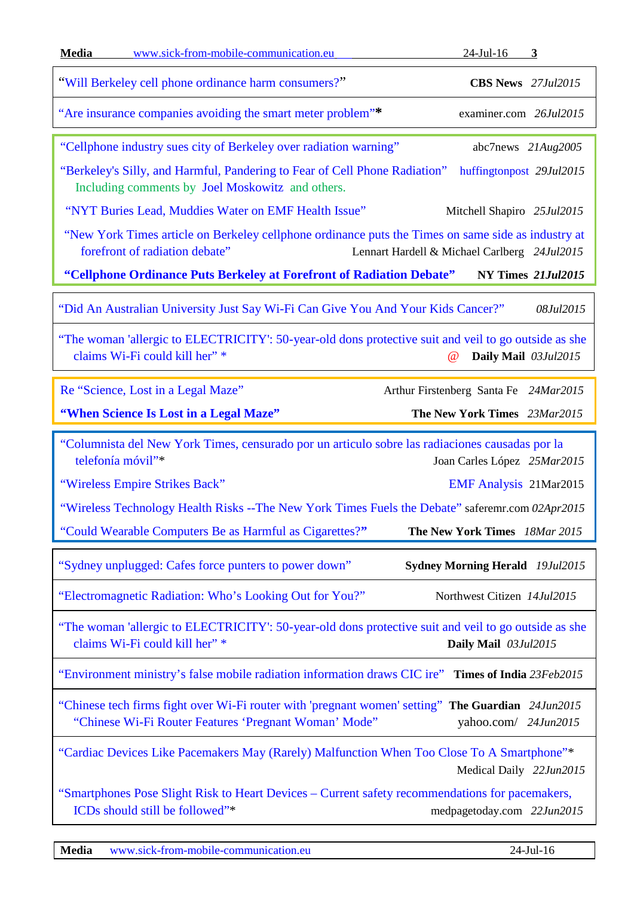| <b>Media</b><br>www.sick-from-mobile-communication.eu                                                                                                                               | $24$ -Jul-16<br>3                            |  |
|-------------------------------------------------------------------------------------------------------------------------------------------------------------------------------------|----------------------------------------------|--|
| "Will Berkeley cell phone ordinance harm consumers?"                                                                                                                                | <b>CBS News</b> 27Jul2015                    |  |
| "Are insurance companies avoiding the smart meter problem"*                                                                                                                         | examiner.com 26Jul2015                       |  |
| "Cellphone industry sues city of Berkeley over radiation warning"                                                                                                                   | abc7news $21Aug2005$                         |  |
| "Berkeley's Silly, and Harmful, Pandering to Fear of Cell Phone Radiation"<br>Including comments by Joel Moskowitz and others.                                                      | huffingtonpost 29Jul2015                     |  |
| "NYT Buries Lead, Muddies Water on EMF Health Issue"                                                                                                                                | Mitchell Shapiro 25Jul2015                   |  |
| "New York Times article on Berkeley cellphone ordinance puts the Times on same side as industry at<br>forefront of radiation debate"                                                | Lennart Hardell & Michael Carlberg 24Jul2015 |  |
| "Cellphone Ordinance Puts Berkeley at Forefront of Radiation Debate"                                                                                                                | NY Times 21Jul2015                           |  |
| "Did An Australian University Just Say Wi-Fi Can Give You And Your Kids Cancer?"                                                                                                    | 08Jul2015                                    |  |
| "The woman 'allergic to ELECTRICITY': 50-year-old dons protective suit and veil to go outside as she<br>claims Wi-Fi could kill her" *<br>Daily Mail 03Jul2015<br>$^{\, \circledR}$ |                                              |  |
| Re "Science, Lost in a Legal Maze"                                                                                                                                                  | Arthur Firstenberg Santa Fe 24Mar2015        |  |
| "When Science Is Lost in a Legal Maze"                                                                                                                                              | The New York Times 23Mar2015                 |  |
|                                                                                                                                                                                     |                                              |  |
| "Columnista del New York Times, censurado por un articulo sobre las radiaciones causadas por la<br>telefonía móvil"*                                                                | Joan Carles López 25Mar2015                  |  |
| "Wireless Empire Strikes Back"                                                                                                                                                      | <b>EMF Analysis 21Mar2015</b>                |  |
| "Wireless Technology Health Risks -- The New York Times Fuels the Debate" saferemr.com 02Apr2015                                                                                    |                                              |  |
| "Could Wearable Computers Be as Harmful as Cigarettes?"                                                                                                                             | The New York Times 18Mar 2015                |  |
| "Sydney unplugged: Cafes force punters to power down"                                                                                                                               | <b>Sydney Morning Herald</b> 19Jul2015       |  |
| "Electromagnetic Radiation: Who's Looking Out for You?"                                                                                                                             | Northwest Citizen 14Jul2015                  |  |
| "The woman 'allergic to ELECTRICITY': 50-year-old dons protective suit and veil to go outside as she<br>claims Wi-Fi could kill her" *                                              | Daily Mail 03Jul2015                         |  |
| "Environment ministry's false mobile radiation information draws CIC ire" Times of India 23Feb2015                                                                                  |                                              |  |
| "Chinese tech firms fight over Wi-Fi router with 'pregnant women' setting" The Guardian 24Jun2015<br>"Chinese Wi-Fi Router Features 'Pregnant Woman' Mode"                          | vahoo.com/ 24Jun2015                         |  |
| "Cardiac Devices Like Pacemakers May (Rarely) Malfunction When Too Close To A Smartphone"*                                                                                          | Medical Daily 22Jun2015                      |  |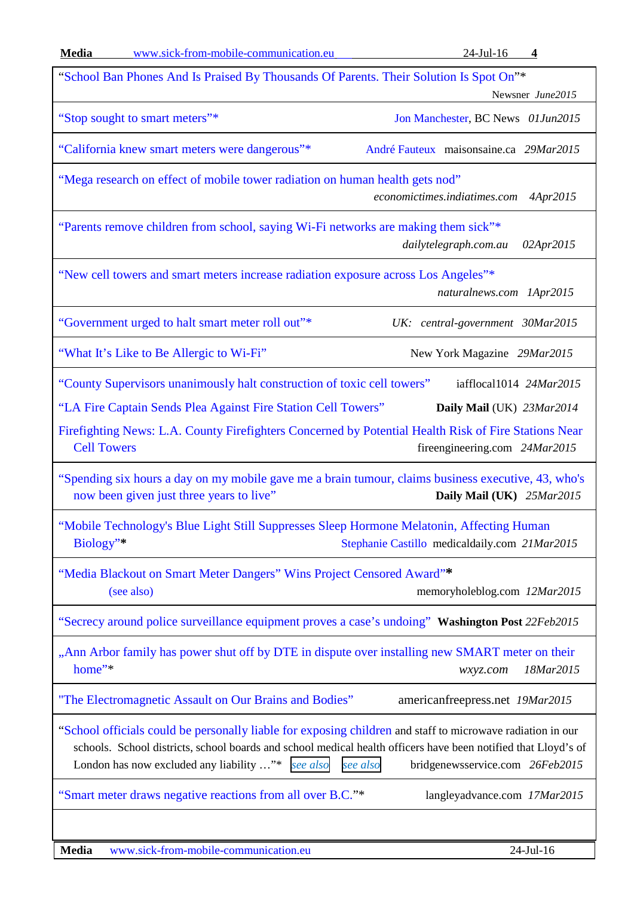| Media<br>www.sick-from-mobile-communication.eu                                                                                                                                                                                                                                       | $24$ -Jul-16<br>$\overline{\mathbf{4}}$                                               |
|--------------------------------------------------------------------------------------------------------------------------------------------------------------------------------------------------------------------------------------------------------------------------------------|---------------------------------------------------------------------------------------|
| "School Ban Phones And Is Praised By Thousands Of Parents. Their Solution Is Spot On"*                                                                                                                                                                                               | Newsner June2015                                                                      |
| "Stop sought to smart meters"*                                                                                                                                                                                                                                                       | Jon Manchester, BC News 01Jun2015                                                     |
| "California knew smart meters were dangerous"*                                                                                                                                                                                                                                       | André Fauteux maisonsaine.ca 29Mar2015                                                |
| "Mega research on effect of mobile tower radiation on human health gets nod"                                                                                                                                                                                                         | economictimes.indiatimes.com<br>4Apr2015                                              |
| "Parents remove children from school, saying Wi-Fi networks are making them sick"*                                                                                                                                                                                                   | dailytelegraph.com.au<br>02Apr2015                                                    |
| "New cell towers and smart meters increase radiation exposure across Los Angeles"*                                                                                                                                                                                                   | naturalnews.com 1Apr2015                                                              |
| "Government urged to halt smart meter roll out"*                                                                                                                                                                                                                                     | UK: central-government 30Mar2015                                                      |
| "What It's Like to Be Allergic to Wi-Fi"                                                                                                                                                                                                                                             | New York Magazine 29Mar2015                                                           |
| "County Supervisors unanimously halt construction of toxic cell towers"<br>"LA Fire Captain Sends Plea Against Fire Station Cell Towers"<br>Firefighting News: L.A. County Firefighters Concerned by Potential Health Risk of Fire Stations Near<br><b>Cell Towers</b>               | iafflocal1014 24Mar2015<br>Daily Mail (UK) 23Mar2014<br>fireengineering.com 24Mar2015 |
| "Spending six hours a day on my mobile gave me a brain tumour, claims business executive, 43, who's<br>now been given just three years to live"                                                                                                                                      | Daily Mail (UK) 25Mar2015                                                             |
| "Mobile Technology's Blue Light Still Suppresses Sleep Hormone Melatonin, Affecting Human<br>Biology"*                                                                                                                                                                               | Stephanie Castillo medicaldaily.com 21Mar2015                                         |
| "Media Blackout on Smart Meter Dangers" Wins Project Censored Award"*<br>(see also)                                                                                                                                                                                                  | memoryholeblog.com 12Mar2015                                                          |
| "Secrecy around police surveillance equipment proves a case's undoing" Washington Post 22Feb2015                                                                                                                                                                                     |                                                                                       |
| "Ann Arbor family has power shut off by DTE in dispute over installing new SMART meter on their<br>home"*                                                                                                                                                                            | 18Mar2015<br>wxyz.com                                                                 |
| "The Electromagnetic Assault on Our Brains and Bodies"                                                                                                                                                                                                                               | americanfreepress.net 19Mar2015                                                       |
| "School officials could be personally liable for exposing children and staff to microwave radiation in our<br>schools. School districts, school boards and school medical health officers have been notified that Lloyd's of<br>London has now excluded any liability "*<br>see also | bridgenewsservice.com 26Feb2015<br>see also                                           |
| "Smart meter draws negative reactions from all over B.C."*                                                                                                                                                                                                                           | langleyadvance.com 17Mar2015                                                          |
|                                                                                                                                                                                                                                                                                      |                                                                                       |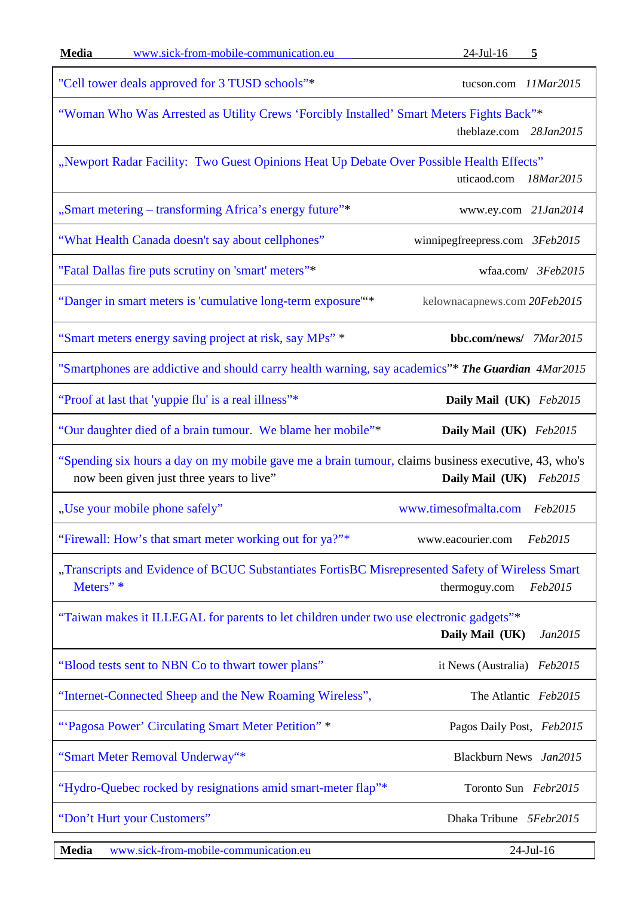| <b>Media</b>                                                                                                                              | www.sick-from-mobile-communication.eu                                                                                                           | $24$ -Jul-16<br>5              |
|-------------------------------------------------------------------------------------------------------------------------------------------|-------------------------------------------------------------------------------------------------------------------------------------------------|--------------------------------|
|                                                                                                                                           | "Cell tower deals approved for 3 TUSD schools"*                                                                                                 | tucson.com 11Mar2015           |
| "Woman Who Was Arrested as Utility Crews 'Forcibly Installed' Smart Meters Fights Back"*<br>theblaze.com 28Jan2015                        |                                                                                                                                                 |                                |
|                                                                                                                                           | "Newport Radar Facility: Two Guest Opinions Heat Up Debate Over Possible Health Effects"                                                        | uticaod.com<br>18Mar2015       |
|                                                                                                                                           | "Smart metering - transforming Africa's energy future"*                                                                                         | www.ey.com 21Jan2014           |
|                                                                                                                                           | "What Health Canada doesn't say about cellphones"                                                                                               | winnipegfreepress.com 3Feb2015 |
|                                                                                                                                           | "Fatal Dallas fire puts scrutiny on 'smart' meters"*                                                                                            | wfaa.com/ 3Feb2015             |
|                                                                                                                                           | "Danger in smart meters is 'cumulative long-term exposure"*                                                                                     | kelownacapnews.com 20Feb2015   |
|                                                                                                                                           | "Smart meters energy saving project at risk, say MPs" *                                                                                         | bbc.com/news/ 7Mar2015         |
|                                                                                                                                           | "Smartphones are addictive and should carry health warning, say academics"* The Guardian 4Mar2015                                               |                                |
|                                                                                                                                           | "Proof at last that 'yuppie flu' is a real illness"*                                                                                            | Daily Mail (UK) Feb2015        |
|                                                                                                                                           | "Our daughter died of a brain tumour. We blame her mobile"*                                                                                     | Daily Mail (UK) Feb2015        |
|                                                                                                                                           | "Spending six hours a day on my mobile gave me a brain tumour, claims business executive, 43, who's<br>now been given just three years to live" | Daily Mail (UK) Feb2015        |
|                                                                                                                                           | "Use your mobile phone safely"                                                                                                                  | www.timesofmalta.com Feb2015   |
|                                                                                                                                           | "Firewall: How's that smart meter working out for ya?"*                                                                                         | Feb2015<br>www.eacourier.com   |
| "Transcripts and Evidence of BCUC Substantiates FortisBC Misrepresented Safety of Wireless Smart<br>Meters" *<br>Feb2015<br>thermoguy.com |                                                                                                                                                 |                                |
| "Taiwan makes it ILLEGAL for parents to let children under two use electronic gadgets"*<br>Daily Mail (UK)<br>Jan2015                     |                                                                                                                                                 |                                |
|                                                                                                                                           | "Blood tests sent to NBN Co to thwart tower plans"                                                                                              | it News (Australia)<br>Feb2015 |
|                                                                                                                                           | "Internet-Connected Sheep and the New Roaming Wireless",                                                                                        | The Atlantic Feb2015           |
|                                                                                                                                           | "'Pagosa Power' Circulating Smart Meter Petition" *                                                                                             | Pagos Daily Post, Feb2015      |
|                                                                                                                                           | "Smart Meter Removal Underway"*                                                                                                                 | Blackburn News Jan2015         |
|                                                                                                                                           | "Hydro-Quebec rocked by resignations amid smart-meter flap"*                                                                                    | Toronto Sun Febr2015           |
|                                                                                                                                           | "Don't Hurt your Customers"                                                                                                                     | Dhaka Tribune 5Febr2015        |
|                                                                                                                                           |                                                                                                                                                 |                                |

 $\Box$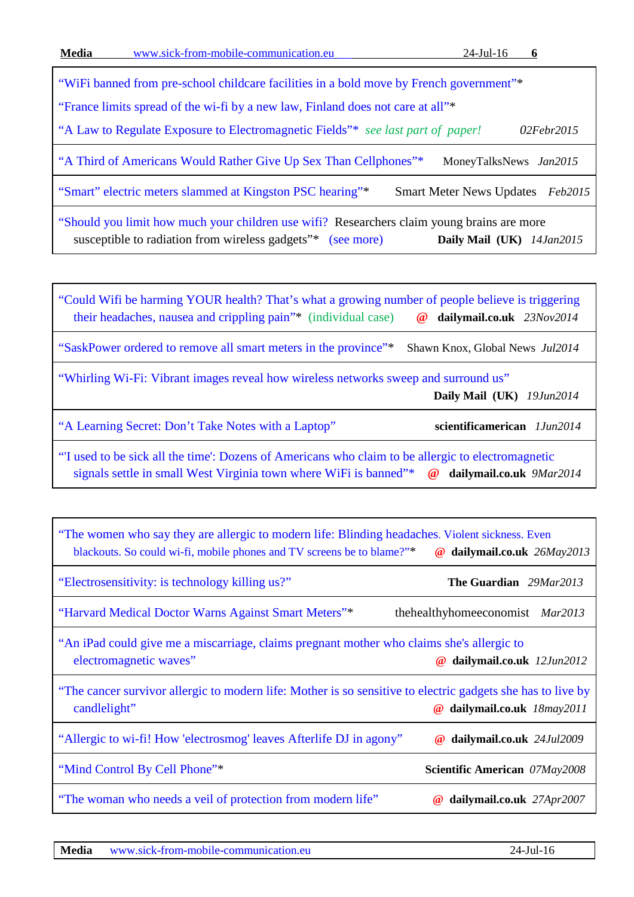["WiFi banned from pre-school childcare facilities in a bold move by French government"\\*](http://www.naturalnews.com/043695_electrosensitivity_wifi_French_government.html#ixzz3R6AlsZ2R) ["France limits spread of the wi-fi by a new law, Finland does not care at all"\\*](https://betweenrockandhardplace.wordpress.com/2015/02/02/france-limits-spread-of-the-wi-fi-by-a-new-law-finland-does-not-care-at-all/) ["A Law to Regulate Exposure to Electromagnetic Fields"\\*](https://betweenrockandhardplace.wordpress.com/2015/02/02/france-limits-spread-of-the-wi-fi-by-a-new-law-finland-does-not-care-at-all/) *see last part of paper! 02Febr2015* ["A Third of Americans Would Rather Give Up Sex Than Cellphones"\\*](http://www.moneytalksnews.com/survey-one-third-americans-choose-cell-phone-over-sex/) MoneyTalksNews Jan2015 ["Smart" electric meters slammed at Kingston PSC](https://smartmeternewsupdates.wordpress.com/2015/02/07/smart-electric-meters-slammed-at-kingston-psc-hearing-2/) hearing"\*Smart Meter News Updates *Feb2015* ["Should you limit how much your children use wifi?](http://www.dailymail.co.uk/sciencetech/article-2909166/Is-wi-fi-harming-children-Experts-warn-children-susceptible-wifi.html#ixzz3R68sWniX) Researchers claim young brains are more

susceptible to radiation from wireless gadgets"\*[\(see more\)](http://www.dailymail.co.uk/sciencetech/article-2909166/Is-wi-fi-harming-children-Experts-warn-children-susceptible-wifi.html#ixzz3R689PzWs) **Daily Mail (UK)** *14Jan2015*

"Could Wifi be harming [YOUR health? That's what a growing number of people believe is triggering](http://www.dailymail.co.uk/femail/article-2846494/Could-Wifi-harming-health-Thats-growing-number-people-believe-triggering-headaches-nausea-crippling-pain.html)  [their headaches, nausea and crippling pain"\\*](http://www.dailymail.co.uk/femail/article-2846494/Could-Wifi-harming-health-Thats-growing-number-people-believe-triggering-headaches-nausea-crippling-pain.html) (individual case) **@ dailymail.co.uk** *23Nov2014*

["SaskPower ordered to remove all smart meters in the province"\\*](http://globalnews.ca/news/1483134/saskpower-ordered-to-remove-all-smart-meters-in-the-province/) [Shawn Knox,](http://globalnews.ca/author/shawn-knox/) Global News *Jul2014*

["Whirling Wi-Fi: Vibrant images reveal how wireless networks sweep and surround us"](http://www.dailymail.co.uk/sciencetech/article-2662507/Whirling-Wi-Fi-Vibrant-images-reveal-wireless-networks-sweep-surround-us.html)

 **Daily Mail (UK)** *19Jun2014*

["A Learning Secret: Don't Take Notes](http://www.scientificamerican.com/article/a-learning-secret-don-t-take-notes-with-a-laptop/) with a Laptop" **scientificamerican** *1Jun2014*

"'I used to be sick all the time': Dozens [of Americans who claim to be allergic to electromagnetic](http://www.dailymail.co.uk/news/article-2576848/I-used-sick-time-Dozens-Americans-claim-allergic-electromagnetic-signals-settle-small-West-Virginia-town-WiFi-banned.html)  [signals settle in small West Virginia town where WiFi is banned"\\*](http://www.dailymail.co.uk/news/article-2576848/I-used-sick-time-Dozens-Americans-claim-allergic-electromagnetic-signals-settle-small-West-Virginia-town-WiFi-banned.html) **@ dailymail.co.uk** *9Mar2014*

| "The women who say they are allergic to modern life: Blinding headaches. Violent sickness. Even<br>blackouts. So could wi-fi, mobile phones and TV screens be to blame?"* | dailymail.co.uk 26May2013<br>$\omega$ |  |
|---------------------------------------------------------------------------------------------------------------------------------------------------------------------------|---------------------------------------|--|
| "Electrosensitivity: is technology killing us?"                                                                                                                           | <b>The Guardian</b> 29Mar2013         |  |
| "Harvard Medical Doctor Warns Against Smart Meters"*                                                                                                                      | the healthy home economist Mar2013    |  |
| "An iPad could give me a miscarriage, claims pregnant mother who claims she's allergic to<br>electromagnetic waves"                                                       | dailymail.co.uk 12Jun2012<br>$^{\,a}$ |  |
| "The cancer survivor allergic to modern life: Mother is so sensitive to electric gadgets she has to live by<br>candlelight"<br>dailymail.co.uk 18may2011<br>$\omega$      |                                       |  |
| "Allergic to wi-fi! How 'electrosmog' leaves Afterlife DJ in agony"                                                                                                       | dailymail.co.uk 24Jul2009<br>$\omega$ |  |
| "Mind Control By Cell Phone"*                                                                                                                                             | Scientific American 07May2008         |  |
| "The woman who needs a veil of protection from modern life"                                                                                                               | dailymail.co.uk 27Apr2007<br>$\omega$ |  |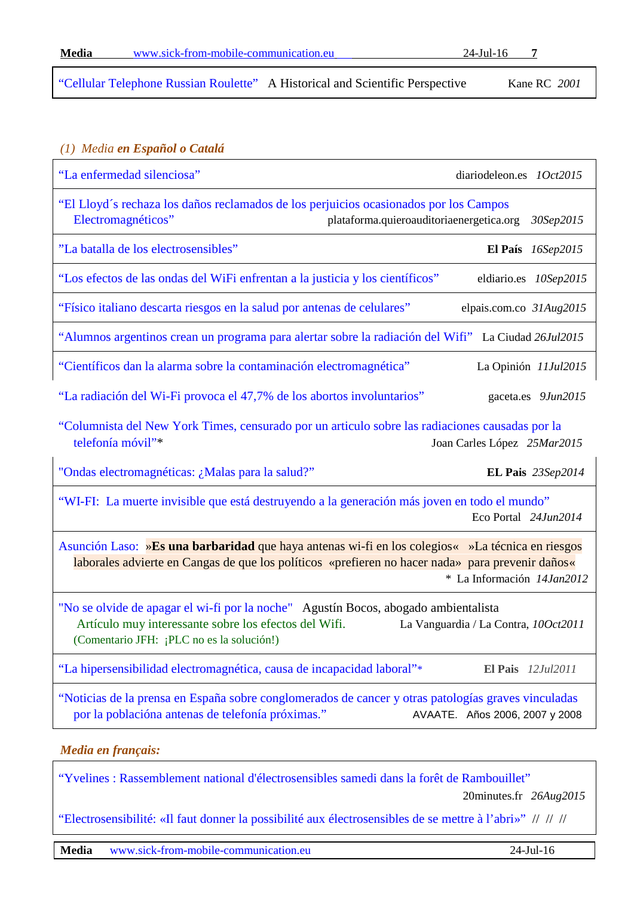<span id="page-6-0"></span>["Cellular Telephone Russian Roulette"](https://microondes.files.wordpress.com/2010/03/robert_c_kane_cellular_telephone_russian_roulette.pdf) A Historical and Scientific Perspective Kane RC *2001*

#### *(1) Media en Español o Catalá*

| "La enfermedad silenciosa"                                                                                                                                                                            | diariodeleon.es 1Oct2015                              |  |
|-------------------------------------------------------------------------------------------------------------------------------------------------------------------------------------------------------|-------------------------------------------------------|--|
| "El Lloyd's rechaza los daños reclamados de los perjuicios ocasionados por los Campos<br>Electromagnéticos"                                                                                           | plataforma.quieroauditoriaenergetica.org<br>30Sep2015 |  |
| "La batalla de los electrosensibles"                                                                                                                                                                  | El País $16$ Sep2015                                  |  |
| "Los efectos de las ondas del WiFi enfrentan a la justicia y los científicos"                                                                                                                         | eldiario.es 10Sep2015                                 |  |
| "Físico italiano descarta riesgos en la salud por antenas de celulares"                                                                                                                               | elpais.com.co 31Aug2015                               |  |
| "Alumnos argentinos crean un programa para alertar sobre la radiación del Wifi" La Ciudad 26Jul2015                                                                                                   |                                                       |  |
| "Científicos dan la alarma sobre la contaminación electromagnética"                                                                                                                                   | La Opinión 11Jul2015                                  |  |
| "La radiación del Wi-Fi provoca el 47,7% de los abortos involuntarios"                                                                                                                                | gaceta.es 9Jun2015                                    |  |
| "Columnista del New York Times, censurado por un articulo sobre las radiaciones causadas por la<br>telefonía móvil"*                                                                                  | Joan Carles López 25Mar2015                           |  |
|                                                                                                                                                                                                       |                                                       |  |
| "Ondas electromagnéticas: ¿Malas para la salud?"                                                                                                                                                      | EL Pais 23Sep2014                                     |  |
| "WI-FI: La muerte invisible que está destruyendo a la generación más joven en todo el mundo"                                                                                                          | Eco Portal 24Jun2014                                  |  |
| Asunción Laso: »Es una barbaridad que haya antenas wi-fi en los colegios « »La técnica en riesgos<br>laborales advierte en Cangas de que los políticos «prefieren no hacer nada» para prevenir daños« | * La Información 14Jan2012                            |  |
| "No se olvide de apagar el wi-fi por la noche" Agustín Bocos, abogado ambientalista<br>Artículo muy interessante sobre los efectos del Wifi.<br>(Comentario JFH: ¡PLC no es la solución!)             | La Vanguardia / La Contra, 100ct2011                  |  |
| "La hipersensibilidad electromagnética, causa de incapacidad laboral"*                                                                                                                                | <b>El Pais</b> 12Jul2011                              |  |
| "Noticias de la prensa en España sobre conglomerados de cancer y otras patologías graves vinculadas<br>por la poblacióna antenas de telefonía próximas."                                              | AVAATE. Años 2006, 2007 y 2008                        |  |

<span id="page-6-1"></span>["Yvelines : Rassemblement national d'électrosensibles samedi dans la forêt de Rambouillet"](http://www.20minutes.fr/societe/1672975-20150826-yvelines-rassemblement-national-electrosensibles-samedi-foret-rambouillet)

20minutes.fr *26Aug2015*

["Electrosensibilité: «Il faut donner la possibilité aux électrosensibles de se mettre à l'abri»"](http://www.20minutes.fr/societe/1672859-20150826-electrosensibilite-faut-donner-possibilite-electrosensibles-mettre-abri) // // //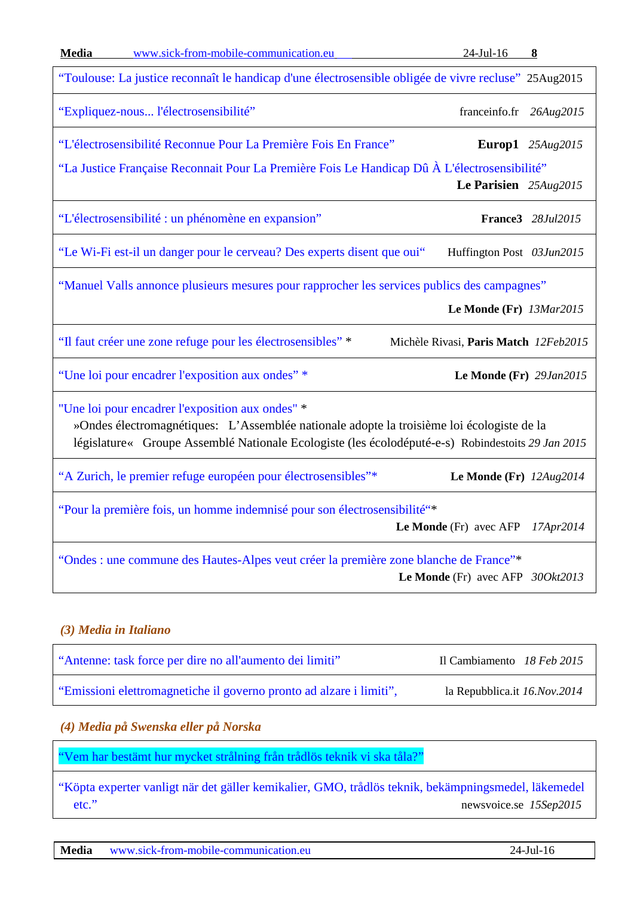| <b>Media</b><br>www.sick-from-mobile-communication.eu                                                                                                                                                                                              | $24$ -Jul-16                          | 8                  |
|----------------------------------------------------------------------------------------------------------------------------------------------------------------------------------------------------------------------------------------------------|---------------------------------------|--------------------|
| "Toulouse: La justice reconnaît le handicap d'une électrosensible obligée de vivre recluse" 25Aug2015                                                                                                                                              |                                       |                    |
| "Expliquez-nous l'électrosensibilité"                                                                                                                                                                                                              | franceinfo.fr 26Aug2015               |                    |
| "L'électrosensibilité Reconnue Pour La Première Fois En France"                                                                                                                                                                                    |                                       | Europ1 $25Aug2015$ |
| "La Justice Française Reconnait Pour La Première Fois Le Handicap Dû À L'électrosensibilité"<br>Le Parisien 25Aug2015                                                                                                                              |                                       |                    |
| "L'électrosensibilité : un phénomène en expansion"                                                                                                                                                                                                 |                                       | France3 28Jul2015  |
| "Le Wi-Fi est-il un danger pour le cerveau? Des experts disent que oui"                                                                                                                                                                            | Huffington Post 03Jun2015             |                    |
| "Manuel Valls annonce plusieurs mesures pour rapprocher les services publics des campagnes"                                                                                                                                                        | Le Monde (Fr) 13Mar2015               |                    |
| "Il faut créer une zone refuge pour les électrosensibles" *                                                                                                                                                                                        | Michèle Rivasi, Paris Match 12Feb2015 |                    |
| "Une loi pour encadrer l'exposition aux ondes" *                                                                                                                                                                                                   | Le Monde (Fr) 29Jan2015               |                    |
| "Une loi pour encadrer l'exposition aux ondes" *<br>»Ondes électromagnétiques: L'Assemblée nationale adopte la troisième loi écologiste de la<br>législature« Groupe Assemblé Nationale Ecologiste (les écolodéputé-e-s) Robindestoits 29 Jan 2015 |                                       |                    |
| "A Zurich, le premier refuge européen pour électrosensibles"*                                                                                                                                                                                      | Le Monde (Fr) $12Aug2014$             |                    |
| "Pour la première fois, un homme indemnisé pour son électrosensibilité"*<br>Le Monde (Fr) avec AFP<br>17Apr2014                                                                                                                                    |                                       |                    |
| "Ondes : une commune des Hautes-Alpes veut créer la première zone blanche de France"*                                                                                                                                                              | Le Monde (Fr) avec AFP $300kt2013$    |                    |

### <span id="page-7-0"></span>*(3) Media in Italiano*

| "Antenne: task force per dire no all'aumento dei limiti"            | Il Cambiamento 18 Feb 2015       |
|---------------------------------------------------------------------|----------------------------------|
| "Emissioni elettromagnetiche il governo pronto ad alzare i limiti", | la Repubblica.it $16. Nov. 2014$ |

### <span id="page-7-1"></span>*(4) Media på Swenska eller på Norska*

["Vem har bestämt hur mycket strålning från trådlös teknik vi ska tåla?"](https://drive.google.com/file/d/0B8kcLPpJ7lBcQWRrVzVfeE9QUlk/view?pli=1)

["Köpta experter vanligt när det gäller kemikalier, GMO, trådlös teknik, bekämpningsmedel, läkemedel](http://newsvoice.se/2015/09/15/kopta-experter-vanligt-nar-det-galler-kemikalier-gmo-tradlos-teknik-lakemedel-bekampningsmedel-etc/)  [etc."](http://newsvoice.se/2015/09/15/kopta-experter-vanligt-nar-det-galler-kemikalier-gmo-tradlos-teknik-lakemedel-bekampningsmedel-etc/) newsvoice.se *15Sep2015*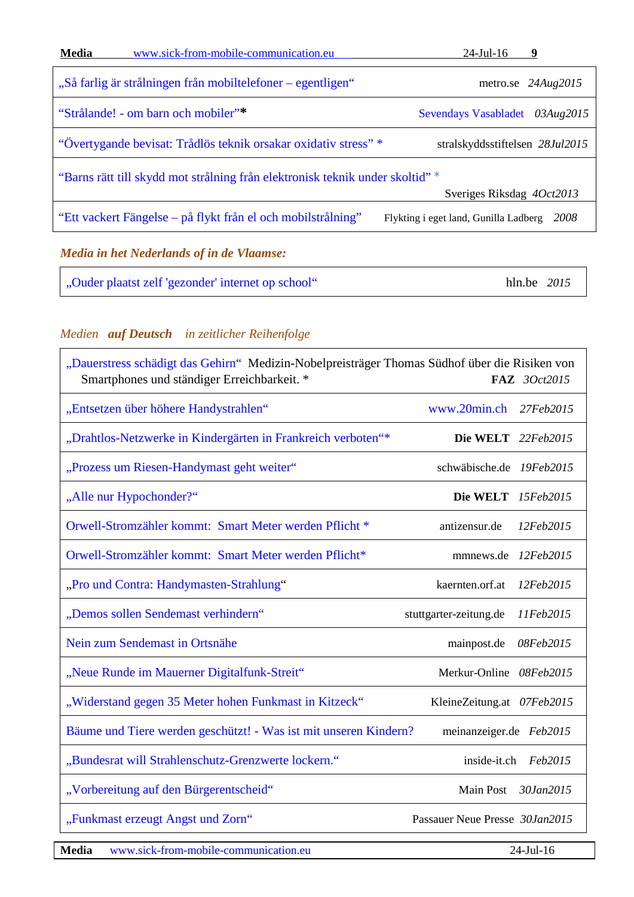| <b>Media</b>                                                                                               | www.sick-from-mobile-communication.eu                           | $24$ -Jul-16<br>9                             |
|------------------------------------------------------------------------------------------------------------|-----------------------------------------------------------------|-----------------------------------------------|
|                                                                                                            | "Så farlig är strålningen från mobiltelefoner – egentligen"     | metro.se $24Aug2015$                          |
|                                                                                                            | "Strålande! - om barn och mobiler"*                             | <b>Sevendays Vasabladet</b><br>03Aug2015      |
|                                                                                                            | "Övertygande bevisat: Trådlös teknik orsakar oxidativ stress" * | stralskyddsstiftelsen 28Jul2015               |
| "Barns rätt till skydd mot strålning från elektronisk teknik under skoltid" *<br>Sveriges Riksdag 4Oct2013 |                                                                 |                                               |
|                                                                                                            | "Ett vackert Fängelse – på flykt från el och mobilstrålning"    | 2008<br>Flykting i eget land, Gunilla Ladberg |
|                                                                                                            |                                                                 |                                               |

## <span id="page-8-0"></span>*Media in het Nederlands of in de Vlaamse:*

| "Ouder plaatst zelf 'gezonder' internet op school" | hln.be 2015 |
|----------------------------------------------------|-------------|
|----------------------------------------------------|-------------|

# <span id="page-8-1"></span>*Medien auf Deutsch in zeitlicher Reihenfolge*

| "Dauerstress schädigt das Gehirn" Medizin-Nobelpreisträger Thomas Südhof über die Risiken von<br>Smartphones und ständiger Erreichbarkeit. *<br>FAZ 3Oct2015 |                                     |  |
|--------------------------------------------------------------------------------------------------------------------------------------------------------------|-------------------------------------|--|
| "Entsetzen über höhere Handystrahlen"                                                                                                                        | www.20min.ch 27Feb2015              |  |
| "Drahtlos-Netzwerke in Kindergärten in Frankreich verboten"*                                                                                                 | Die WELT 22Feb2015                  |  |
| "Prozess um Riesen-Handymast geht weiter"                                                                                                                    | schwäbische.de 19Feb2015            |  |
| "Alle nur Hypochonder?"                                                                                                                                      | Die WELT 15Feb2015                  |  |
| Orwell-Stromzähler kommt: Smart Meter werden Pflicht *                                                                                                       | antizensur.de<br>12Feb2015          |  |
| Orwell-Stromzähler kommt: Smart Meter werden Pflicht*                                                                                                        | mmnews.de 12Feb2015                 |  |
| "Pro und Contra: Handymasten-Strahlung"                                                                                                                      | kaernten.orf.at<br>12Feb2015        |  |
| "Demos sollen Sendemast verhindern"                                                                                                                          | stuttgarter-zeitung.de<br>11Feb2015 |  |
| Nein zum Sendemast in Ortsnähe                                                                                                                               | mainpost.de<br>08Feb2015            |  |
| "Neue Runde im Mauerner Digitalfunk-Streit"                                                                                                                  | Merkur-Online 08Feb2015             |  |
| "Widerstand gegen 35 Meter hohen Funkmast in Kitzeck"                                                                                                        | KleineZeitung.at 07Feb2015          |  |
| Bäume und Tiere werden geschützt! - Was ist mit unseren Kindern?                                                                                             | meinanzeiger.de Feb2015             |  |
| "Bundesrat will Strahlenschutz-Grenzwerte lockern."                                                                                                          | inside-it.ch Feb2015                |  |
| "Vorbereitung auf den Bürgerentscheid"                                                                                                                       | Main Post 30Jan2015                 |  |
| "Funkmast erzeugt Angst und Zorn"                                                                                                                            | Passauer Neue Presse 30Jan2015      |  |